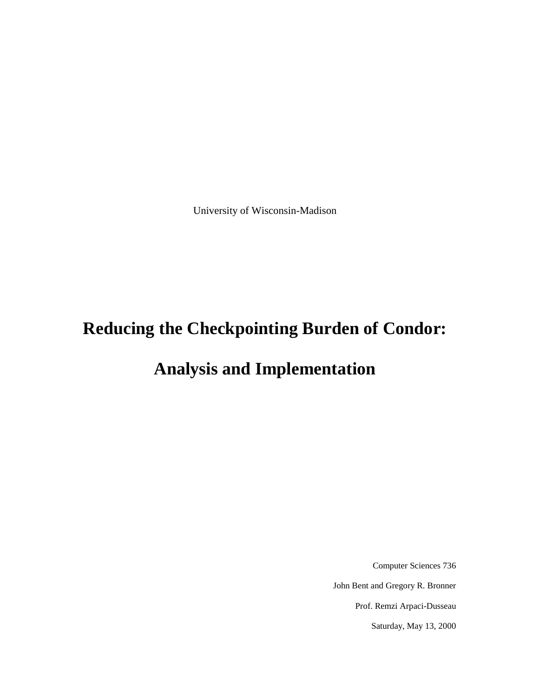University of Wisconsin-Madison

# **Reducing the Checkpointing Burden of Condor:**

# **Analysis and Implementation**

Computer Sciences 736 John Bent and Gregory R. Bronner Prof. Remzi Arpaci-Dusseau Saturday, May 13, 2000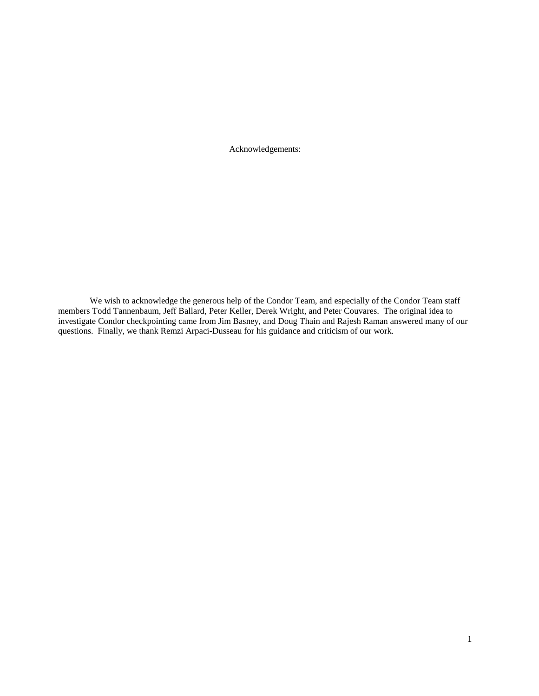Acknowledgements:

We wish to acknowledge the generous help of the Condor Team, and especially of the Condor Team staff members Todd Tannenbaum, Jeff Ballard, Peter Keller, Derek Wright, and Peter Couvares. The original idea to investigate Condor checkpointing came from Jim Basney, and Doug Thain and Rajesh Raman answered many of our questions. Finally, we thank Remzi Arpaci-Dusseau for his guidance and criticism of our work.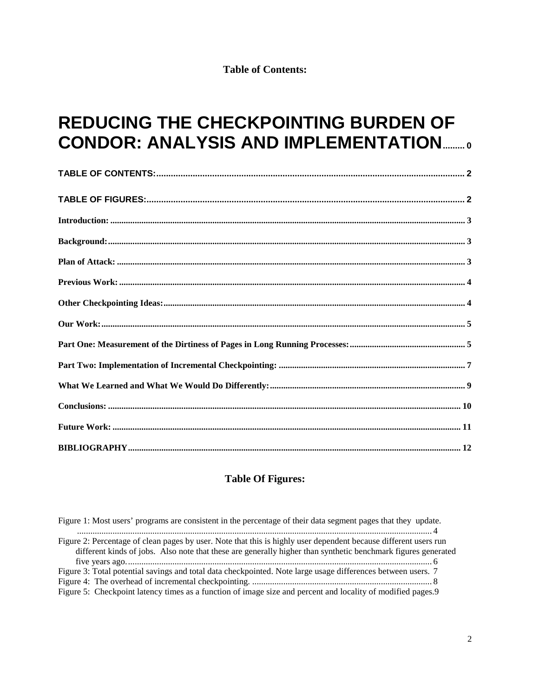**Table of Contents:** 

# **REDUCING THE CHECKPOINTING BURDEN OF CONDOR: ANALYSIS AND IMPLEMENTATION...........**

## **Table Of Figures:**

| Figure 1: Most users' programs are consistent in the percentage of their data segment pages that they update.                                                                                                                     |
|-----------------------------------------------------------------------------------------------------------------------------------------------------------------------------------------------------------------------------------|
| Figure 2: Percentage of clean pages by user. Note that this is highly user dependent because different users run<br>different kinds of jobs. Also note that these are generally higher than synthetic benchmark figures generated |
| Figure 3: Total potential savings and total data checkpointed. Note large usage differences between users. 7<br>Figure 5: Checkpoint latency times as a function of image size and percent and locality of modified pages.9       |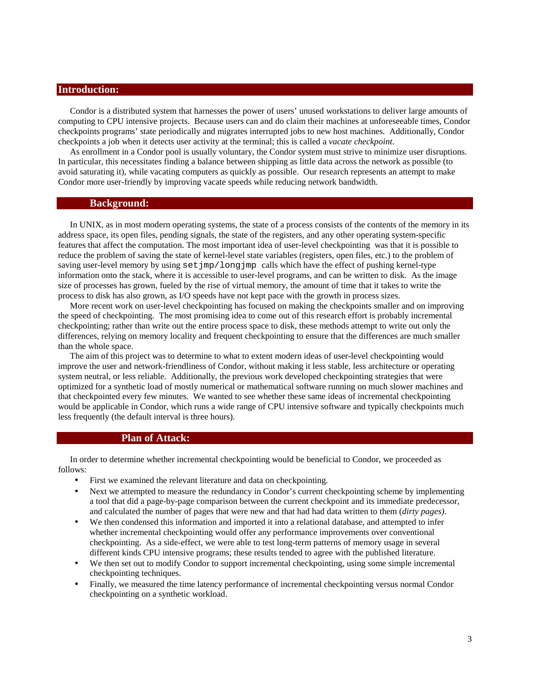## **Introduction:**

Condor is a distributed system that harnesses the power of users' unused workstations to deliver large amounts of computing to CPU intensive projects. Because users can and do claim their machines at unforeseeable times, Condor checkpoints programs' state periodically and migrates interrupted jobs to new host machines. Additionally, Condor checkpoints a job when it detects user activity at the terminal; this is called a *vacate checkpoint*.

As enrollment in a Condor pool is usually voluntary, the Condor system must strive to minimize user disruptions. In particular, this necessitates finding a balance between shipping as little data across the network as possible (to avoid saturating it), while vacating computers as quickly as possible. Our research represents an attempt to make Condor more user-friendly by improving vacate speeds while reducing network bandwidth.

#### **Background:**

In UNIX, as in most modern operating systems, the state of a process consists of the contents of the memory in its address space, its open files, pending signals, the state of the registers, and any other operating system-specific features that affect the computation. The most important idea of user-level checkpointing was that it is possible to reduce the problem of saving the state of kernel-level state variables (registers, open files, etc.) to the problem of saving user-level memory by using  $set_jmp/long_jmp$  calls which have the effect of pushing kernel-type information onto the stack, where it is accessible to user-level programs, and can be written to disk. As the image size of processes has grown, fueled by the rise of virtual memory, the amount of time that it takes to write the process to disk has also grown, as I/O speeds have not kept pace with the growth in process sizes.

More recent work on user-level checkpointing has focused on making the checkpoints smaller and on improving the speed of checkpointing. The most promising idea to come out of this research effort is probably incremental checkpointing; rather than write out the entire process space to disk, these methods attempt to write out only the differences, relying on memory locality and frequent checkpointing to ensure that the differences are much smaller than the whole space.

The aim of this project was to determine to what to extent modern ideas of user-level checkpointing would improve the user and network-friendliness of Condor, without making it less stable, less architecture or operating system neutral, or less reliable. Additionally, the previous work developed checkpointing strategies that were optimized for a synthetic load of mostly numerical or mathematical software running on much slower machines and that checkpointed every few minutes. We wanted to see whether these same ideas of incremental checkpointing would be applicable in Condor, which runs a wide range of CPU intensive software and typically checkpoints much less frequently (the default interval is three hours).

#### **Plan of Attack:**

In order to determine whether incremental checkpointing would be beneficial to Condor, we proceeded as follows:

- First we examined the relevant literature and data on checkpointing.
- Next we attempted to measure the redundancy in Condor's current checkpointing scheme by implementing a tool that did a page-by-page comparison between the current checkpoint and its immediate predecessor, and calculated the number of pages that were new and that had had data written to them (*dirty pages)*.
- We then condensed this information and imported it into a relational database, and attempted to infer whether incremental checkpointing would offer any performance improvements over conventional checkpointing. As a side-effect, we were able to test long-term patterns of memory usage in several different kinds CPU intensive programs; these results tended to agree with the published literature.
- We then set out to modify Condor to support incremental checkpointing, using some simple incremental checkpointing techniques.
- Finally, we measured the time latency performance of incremental checkpointing versus normal Condor checkpointing on a synthetic workload.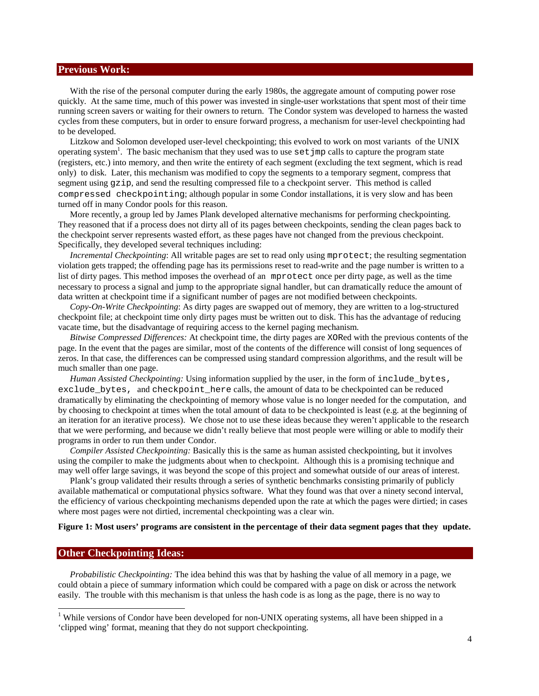### **Previous Work:**

With the rise of the personal computer during the early 1980s, the aggregate amount of computing power rose quickly. At the same time, much of this power was invested in single-user workstations that spent most of their time running screen savers or waiting for their owners to return. The Condor system was developed to harness the wasted cycles from these computers, but in order to ensure forward progress, a mechanism for user-level checkpointing had to be developed.

Litzkow and Solomon developed user-level checkpointing; this evolved to work on most variants of the UNIX operating system<sup>1</sup>. The basic mechanism that they used was to use set jmp calls to capture the program state (registers, etc.) into memory, and then write the entirety of each segment (excluding the text segment, which is read only) to disk. Later, this mechanism was modified to copy the segments to a temporary segment, compress that segment using gzip, and send the resulting compressed file to a checkpoint server. This method is called compressed checkpointing; although popular in some Condor installations, it is very slow and has been turned off in many Condor pools for this reason.

More recently, a group led by James Plank developed alternative mechanisms for performing checkpointing. They reasoned that if a process does not dirty all of its pages between checkpoints, sending the clean pages back to the checkpoint server represents wasted effort, as these pages have not changed from the previous checkpoint. Specifically, they developed several techniques including:

*Incremental Checkpointing*: All writable pages are set to read only using mprotect; the resulting segmentation violation gets trapped; the offending page has its permissions reset to read-write and the page number is written to a list of dirty pages. This method imposes the overhead of an mprotect once per dirty page, as well as the time necessary to process a signal and jump to the appropriate signal handler, but can dramatically reduce the amount of data written at checkpoint time if a significant number of pages are not modified between checkpoints.

*Copy-On-Write Checkpointing*: As dirty pages are swapped out of memory, they are written to a log-structured checkpoint file; at checkpoint time only dirty pages must be written out to disk. This has the advantage of reducing vacate time, but the disadvantage of requiring access to the kernel paging mechanism.

*Bitwise Compressed Differences:* At checkpoint time, the dirty pages are XORed with the previous contents of the page. In the event that the pages are similar, most of the contents of the difference will consist of long sequences of zeros. In that case, the differences can be compressed using standard compression algorithms, and the result will be much smaller than one page.

*Human Assisted Checkpointing:* Using information supplied by the user, in the form of include\_bytes, exclude bytes, and checkpoint here calls, the amount of data to be checkpointed can be reduced dramatically by eliminating the checkpointing of memory whose value is no longer needed for the computation, and by choosing to checkpoint at times when the total amount of data to be checkpointed is least (e.g. at the beginning of an iteration for an iterative process). We chose not to use these ideas because they weren't applicable to the research that we were performing, and because we didn't really believe that most people were willing or able to modify their programs in order to run them under Condor.

*Compiler Assisted Checkpointing:* Basically this is the same as human assisted checkpointing, but it involves using the compiler to make the judgments about when to checkpoint. Although this is a promising technique and may well offer large savings, it was beyond the scope of this project and somewhat outside of our areas of interest.

Plank's group validated their results through a series of synthetic benchmarks consisting primarily of publicly available mathematical or computational physics software. What they found was that over a ninety second interval, the efficiency of various checkpointing mechanisms depended upon the rate at which the pages were dirtied; in cases where most pages were not dirtied, incremental checkpointing was a clear win.

#### **Figure 1: Most users' programs are consistent in the percentage of their data segment pages that they update.**

#### **Other Checkpointing Ideas:**

 $\overline{a}$ 

*Probabilistic Checkpointing:* The idea behind this was that by hashing the value of all memory in a page, we could obtain a piece of summary information which could be compared with a page on disk or across the network easily. The trouble with this mechanism is that unless the hash code is as long as the page, there is no way to

<sup>&</sup>lt;sup>1</sup> While versions of Condor have been developed for non-UNIX operating systems, all have been shipped in a 'clipped wing' format, meaning that they do not support checkpointing.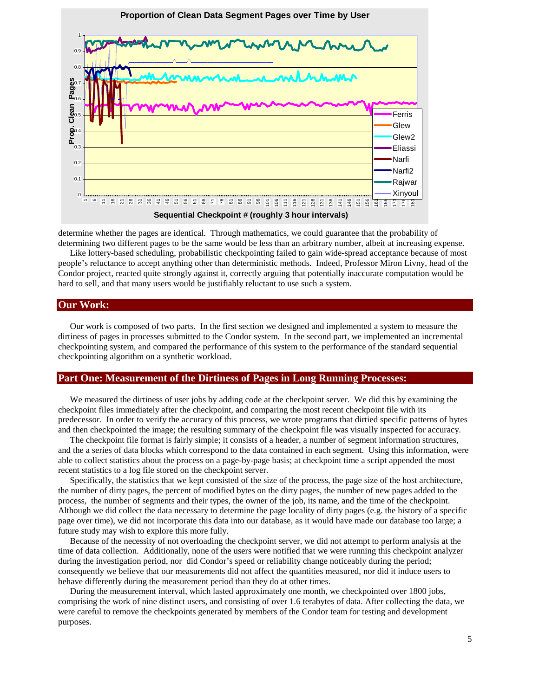

determine whether the pages are identical. Through mathematics, we could guarantee that the probability of determining two different pages to be the same would be less than an arbitrary number, albeit at increasing expense.

Like lottery-based scheduling, probabilistic checkpointing failed to gain wide-spread acceptance because of most people's reluctance to accept anything other than deterministic methods. Indeed, Professor Miron Livny, head of the Condor project, reacted quite strongly against it, correctly arguing that potentially inaccurate computation would be hard to sell, and that many users would be justifiably reluctant to use such a system.

## **Our Work:**

Our work is composed of two parts. In the first section we designed and implemented a system to measure the dirtiness of pages in processes submitted to the Condor system. In the second part, we implemented an incremental checkpointing system, and compared the performance of this system to the performance of the standard sequential checkpointing algorithm on a synthetic workload.

#### **Part One: Measurement of the Dirtiness of Pages in Long Running Processes:**

We measured the dirtiness of user jobs by adding code at the checkpoint server. We did this by examining the checkpoint files immediately after the checkpoint, and comparing the most recent checkpoint file with its predecessor. In order to verify the accuracy of this process, we wrote programs that dirtied specific patterns of bytes and then checkpointed the image; the resulting summary of the checkpoint file was visually inspected for accuracy.

The checkpoint file format is fairly simple; it consists of a header, a number of segment information structures, and the a series of data blocks which correspond to the data contained in each segment. Using this information, were able to collect statistics about the process on a page-by-page basis; at checkpoint time a script appended the most recent statistics to a log file stored on the checkpoint server.

Specifically, the statistics that we kept consisted of the size of the process, the page size of the host architecture, the number of dirty pages, the percent of modified bytes on the dirty pages, the number of new pages added to the process, the number of segments and their types, the owner of the job, its name, and the time of the checkpoint. Although we did collect the data necessary to determine the page locality of dirty pages (e.g. the history of a specific page over time), we did not incorporate this data into our database, as it would have made our database too large; a future study may wish to explore this more fully.

Because of the necessity of not overloading the checkpoint server, we did not attempt to perform analysis at the time of data collection. Additionally, none of the users were notified that we were running this checkpoint analyzer during the investigation period, nor did Condor's speed or reliability change noticeably during the period; consequently we believe that our measurements did not affect the quantities measured, nor did it induce users to behave differently during the measurement period than they do at other times.

During the measurement interval, which lasted approximately one month, we checkpointed over 1800 jobs, comprising the work of nine distinct users, and consisting of over 1.6 terabytes of data. After collecting the data, we were careful to remove the checkpoints generated by members of the Condor team for testing and development purposes.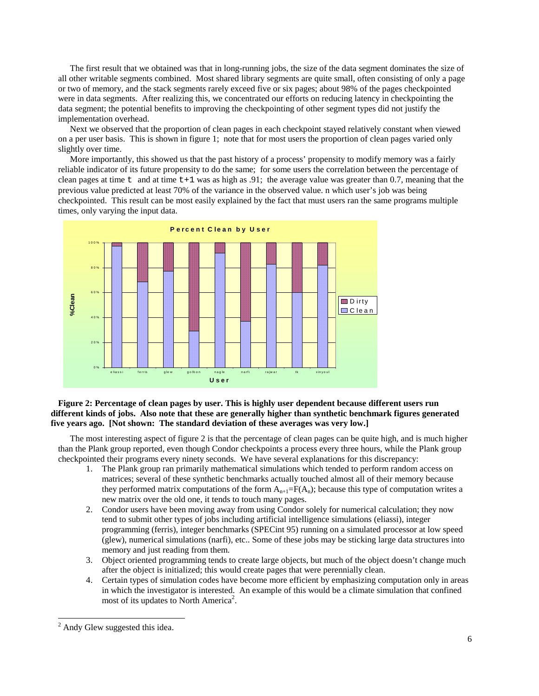The first result that we obtained was that in long-running jobs, the size of the data segment dominates the size of all other writable segments combined. Most shared library segments are quite small, often consisting of only a page or two of memory, and the stack segments rarely exceed five or six pages; about 98% of the pages checkpointed were in data segments. After realizing this, we concentrated our efforts on reducing latency in checkpointing the data segment; the potential benefits to improving the checkpointing of other segment types did not justify the implementation overhead.

Next we observed that the proportion of clean pages in each checkpoint stayed relatively constant when viewed on a per user basis. This is shown in figure 1; note that for most users the proportion of clean pages varied only slightly over time.

More importantly, this showed us that the past history of a process' propensity to modify memory was a fairly reliable indicator of its future propensity to do the same; for some users the correlation between the percentage of clean pages at time t and at time  $t+1$  was as high as .91; the average value was greater than 0.7, meaning that the previous value predicted at least 70% of the variance in the observed value. n which user's job was being checkpointed. This result can be most easily explained by the fact that must users ran the same programs multiple times, only varying the input data.



### **Figure 2: Percentage of clean pages by user. This is highly user dependent because different users run different kinds of jobs. Also note that these are generally higher than synthetic benchmark figures generated five years ago. [Not shown: The standard deviation of these averages was very low.]**

The most interesting aspect of figure 2 is that the percentage of clean pages can be quite high, and is much higher than the Plank group reported, even though Condor checkpoints a process every three hours, while the Plank group checkpointed their programs every ninety seconds. We have several explanations for this discrepancy:

- 1. The Plank group ran primarily mathematical simulations which tended to perform random access on matrices; several of these synthetic benchmarks actually touched almost all of their memory because they performed matrix computations of the form  $A_{n+1}=F(A_n)$ ; because this type of computation writes a new matrix over the old one, it tends to touch many pages.
- 2. Condor users have been moving away from using Condor solely for numerical calculation; they now tend to submit other types of jobs including artificial intelligence simulations (eliassi), integer programming (ferris), integer benchmarks (SPECint 95) running on a simulated processor at low speed (glew), numerical simulations (narfi), etc.. Some of these jobs may be sticking large data structures into memory and just reading from them.
- 3. Object oriented programming tends to create large objects, but much of the object doesn't change much after the object is initialized; this would create pages that were perennially clean.
- 4. Certain types of simulation codes have become more efficient by emphasizing computation only in areas in which the investigator is interested. An example of this would be a climate simulation that confined most of its updates to North America<sup>2</sup>.

 $\overline{\phantom{a}}$ 

<sup>&</sup>lt;sup>2</sup> Andy Glew suggested this idea.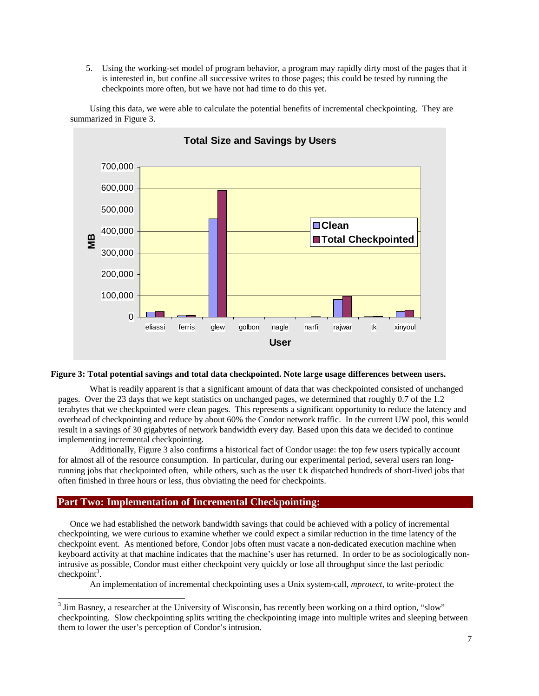5. Using the working-set model of program behavior, a program may rapidly dirty most of the pages that it is interested in, but confine all successive writes to those pages; this could be tested by running the checkpoints more often, but we have not had time to do this yet.



Using this data, we were able to calculate the potential benefits of incremental checkpointing. They are summarized in Figure 3.

#### **Figure 3: Total potential savings and total data checkpointed. Note large usage differences between users.**

What is readily apparent is that a significant amount of data that was checkpointed consisted of unchanged pages. Over the 23 days that we kept statistics on unchanged pages, we determined that roughly 0.7 of the 1.2 terabytes that we checkpointed were clean pages. This represents a significant opportunity to reduce the latency and overhead of checkpointing and reduce by about 60% the Condor network traffic. In the current UW pool, this would result in a savings of 30 gigabytes of network bandwidth every day. Based upon this data we decided to continue implementing incremental checkpointing.

Additionally, Figure 3 also confirms a historical fact of Condor usage: the top few users typically account for almost all of the resource consumption. In particular, during our experimental period, several users ran longrunning jobs that checkpointed often, while others, such as the user tk dispatched hundreds of short-lived jobs that often finished in three hours or less, thus obviating the need for checkpoints.

## **Part Two: Implementation of Incremental Checkpointing:**

Once we had established the network bandwidth savings that could be achieved with a policy of incremental checkpointing, we were curious to examine whether we could expect a similar reduction in the time latency of the checkpoint event. As mentioned before, Condor jobs often must vacate a non-dedicated execution machine when keyboard activity at that machine indicates that the machine's user has returned. In order to be as sociologically nonintrusive as possible, Condor must either checkpoint very quickly or lose all throughput since the last periodic checkpoint<sup>3</sup>.

An implementation of incremental checkpointing uses a Unix system-call, *mprotect*, to write-protect the

<sup>&</sup>lt;sup>3</sup> Jim Basney, a researcher at the University of Wisconsin, has recently been working on a third option, "slow" checkpointing. Slow checkpointing splits writing the checkpointing image into multiple writes and sleeping between them to lower the user's perception of Condor's intrusion.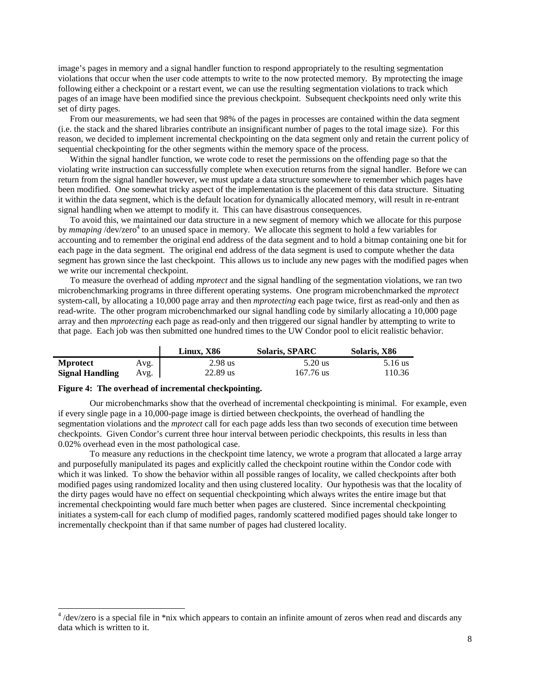image's pages in memory and a signal handler function to respond appropriately to the resulting segmentation violations that occur when the user code attempts to write to the now protected memory. By mprotecting the image following either a checkpoint or a restart event, we can use the resulting segmentation violations to track which pages of an image have been modified since the previous checkpoint. Subsequent checkpoints need only write this set of dirty pages.

From our measurements, we had seen that 98% of the pages in processes are contained within the data segment (i.e. the stack and the shared libraries contribute an insignificant number of pages to the total image size). For this reason, we decided to implement incremental checkpointing on the data segment only and retain the current policy of sequential checkpointing for the other segments within the memory space of the process.

Within the signal handler function, we wrote code to reset the permissions on the offending page so that the violating write instruction can successfully complete when execution returns from the signal handler. Before we can return from the signal handler however, we must update a data structure somewhere to remember which pages have been modified. One somewhat tricky aspect of the implementation is the placement of this data structure. Situating it within the data segment, which is the default location for dynamically allocated memory, will result in re-entrant signal handling when we attempt to modify it. This can have disastrous consequences.

To avoid this, we maintained our data structure in a new segment of memory which we allocate for this purpose by *mmaping* /dev/zero<sup>4</sup> to an unused space in memory. We allocate this segment to hold a few variables for accounting and to remember the original end address of the data segment and to hold a bitmap containing one bit for each page in the data segment. The original end address of the data segment is used to compute whether the data segment has grown since the last checkpoint. This allows us to include any new pages with the modified pages when we write our incremental checkpoint.

To measure the overhead of adding *mprotect* and the signal handling of the segmentation violations, we ran two microbenchmarking programs in three different operating systems. One program microbenchmarked the *mprotect* system-call, by allocating a 10,000 page array and then *mprotecting* each page twice, first as read-only and then as read-write. The other program microbenchmarked our signal handling code by similarly allocating a 10,000 page array and then *mprotecting* each page as read-only and then triggered our signal handler by attempting to write to that page. Each job was then submitted one hundred times to the UW Condor pool to elicit realistic behavior.

|                        |      | Linux. X86 | <b>Solaris, SPARC</b> | Solaris, X86 |
|------------------------|------|------------|-----------------------|--------------|
| <b>Mprotect</b>        | Avg. | $2.98$ us  | 5.20 us               | 5.16 us      |
| <b>Signal Handling</b> | Avg. | 22.89 us   | $167.76$ us           | 110.36       |

#### **Figure 4: The overhead of incremental checkpointing.**

Our microbenchmarks show that the overhead of incremental checkpointing is minimal. For example, even if every single page in a 10,000-page image is dirtied between checkpoints, the overhead of handling the segmentation violations and the *mprotect* call for each page adds less than two seconds of execution time between checkpoints. Given Condor's current three hour interval between periodic checkpoints, this results in less than 0.02% overhead even in the most pathological case.

To measure any reductions in the checkpoint time latency, we wrote a program that allocated a large array and purposefully manipulated its pages and explicitly called the checkpoint routine within the Condor code with which it was linked. To show the behavior within all possible ranges of locality, we called checkpoints after both modified pages using randomized locality and then using clustered locality. Our hypothesis was that the locality of the dirty pages would have no effect on sequential checkpointing which always writes the entire image but that incremental checkpointing would fare much better when pages are clustered. Since incremental checkpointing initiates a system-call for each clump of modified pages, randomly scattered modified pages should take longer to incrementally checkpoint than if that same number of pages had clustered locality.

<sup>&</sup>lt;sup>4</sup>/dev/zero is a special file in \*nix which appears to contain an infinite amount of zeros when read and discards any data which is written to it.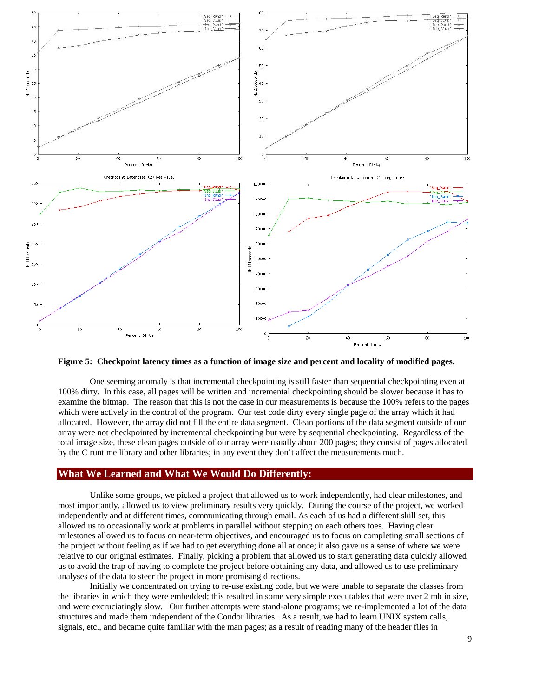

**Figure 5: Checkpoint latency times as a function of image size and percent and locality of modified pages.**

One seeming anomaly is that incremental checkpointing is still faster than sequential checkpointing even at 100% dirty. In this case, all pages will be written and incremental checkpointing should be slower because it has to examine the bitmap. The reason that this is not the case in our measurements is because the 100% refers to the pages which were actively in the control of the program. Our test code dirty every single page of the array which it had allocated. However, the array did not fill the entire data segment. Clean portions of the data segment outside of our array were not checkpointed by incremental checkpointing but were by sequential checkpointing. Regardless of the total image size, these clean pages outside of our array were usually about 200 pages; they consist of pages allocated by the C runtime library and other libraries; in any event they don't affect the measurements much.

## **What We Learned and What We Would Do Differently:**

Unlike some groups, we picked a project that allowed us to work independently, had clear milestones, and most importantly, allowed us to view preliminary results very quickly. During the course of the project, we worked independently and at different times, communicating through email. As each of us had a different skill set, this allowed us to occasionally work at problems in parallel without stepping on each others toes. Having clear milestones allowed us to focus on near-term objectives, and encouraged us to focus on completing small sections of the project without feeling as if we had to get everything done all at once; it also gave us a sense of where we were relative to our original estimates. Finally, picking a problem that allowed us to start generating data quickly allowed us to avoid the trap of having to complete the project before obtaining any data, and allowed us to use preliminary analyses of the data to steer the project in more promising directions.

Initially we concentrated on trying to re-use existing code, but we were unable to separate the classes from the libraries in which they were embedded; this resulted in some very simple executables that were over 2 mb in size, and were excruciatingly slow. Our further attempts were stand-alone programs; we re-implemented a lot of the data structures and made them independent of the Condor libraries. As a result, we had to learn UNIX system calls, signals, etc., and became quite familiar with the man pages; as a result of reading many of the header files in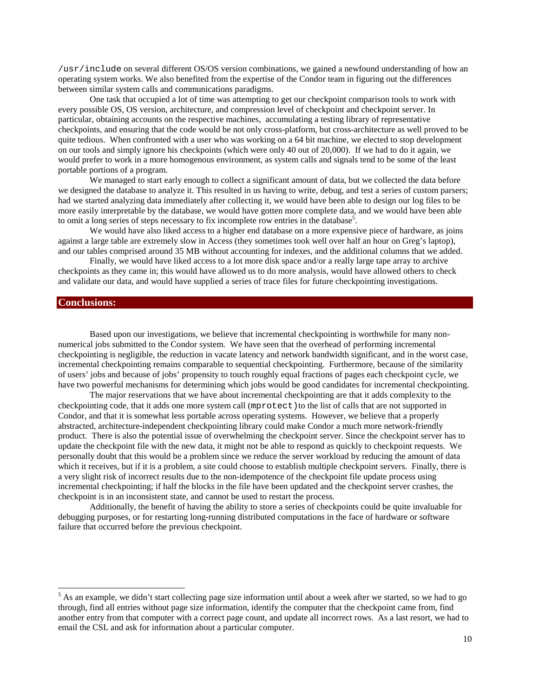/usr/include on several different OS/OS version combinations, we gained a newfound understanding of how an operating system works. We also benefited from the expertise of the Condor team in figuring out the differences between similar system calls and communications paradigms.

One task that occupied a lot of time was attempting to get our checkpoint comparison tools to work with every possible OS, OS version, architecture, and compression level of checkpoint and checkpoint server. In particular, obtaining accounts on the respective machines, accumulating a testing library of representative checkpoints, and ensuring that the code would be not only cross-platform, but cross-architecture as well proved to be quite tedious. When confronted with a user who was working on a 64 bit machine, we elected to stop development on our tools and simply ignore his checkpoints (which were only 40 out of 20,000). If we had to do it again, we would prefer to work in a more homogenous environment, as system calls and signals tend to be some of the least portable portions of a program.

We managed to start early enough to collect a significant amount of data, but we collected the data before we designed the database to analyze it. This resulted in us having to write, debug, and test a series of custom parsers; had we started analyzing data immediately after collecting it, we would have been able to design our log files to be more easily interpretable by the database, we would have gotten more complete data, and we would have been able to omit a long series of steps necessary to fix incomplete row entries in the database<sup>5</sup>.

We would have also liked access to a higher end database on a more expensive piece of hardware, as joins against a large table are extremely slow in Access (they sometimes took well over half an hour on Greg's laptop), and our tables comprised around 35 MB without accounting for indexes, and the additional columns that we added.

Finally, we would have liked access to a lot more disk space and/or a really large tape array to archive checkpoints as they came in; this would have allowed us to do more analysis, would have allowed others to check and validate our data, and would have supplied a series of trace files for future checkpointing investigations.

## **Conclusions:**

 $\overline{a}$ 

Based upon our investigations, we believe that incremental checkpointing is worthwhile for many nonnumerical jobs submitted to the Condor system. We have seen that the overhead of performing incremental checkpointing is negligible, the reduction in vacate latency and network bandwidth significant, and in the worst case, incremental checkpointing remains comparable to sequential checkpointing. Furthermore, because of the similarity of users' jobs and because of jobs' propensity to touch roughly equal fractions of pages each checkpoint cycle, we have two powerful mechanisms for determining which jobs would be good candidates for incremental checkpointing.

The major reservations that we have about incremental checkpointing are that it adds complexity to the checkpointing code, that it adds one more system call (mprotect) to the list of calls that are not supported in Condor, and that it is somewhat less portable across operating systems. However, we believe that a properly abstracted, architecture-independent checkpointing library could make Condor a much more network-friendly product. There is also the potential issue of overwhelming the checkpoint server. Since the checkpoint server has to update the checkpoint file with the new data, it might not be able to respond as quickly to checkpoint requests. We personally doubt that this would be a problem since we reduce the server workload by reducing the amount of data which it receives, but if it is a problem, a site could choose to establish multiple checkpoint servers. Finally, there is a very slight risk of incorrect results due to the non-idempotence of the checkpoint file update process using incremental checkpointing; if half the blocks in the file have been updated and the checkpoint server crashes, the checkpoint is in an inconsistent state, and cannot be used to restart the process.

Additionally, the benefit of having the ability to store a series of checkpoints could be quite invaluable for debugging purposes, or for restarting long-running distributed computations in the face of hardware or software failure that occurred before the previous checkpoint.

 $<sup>5</sup>$  As an example, we didn't start collecting page size information until about a week after we started, so we had to go</sup> through, find all entries without page size information, identify the computer that the checkpoint came from, find another entry from that computer with a correct page count, and update all incorrect rows. As a last resort, we had to email the CSL and ask for information about a particular computer.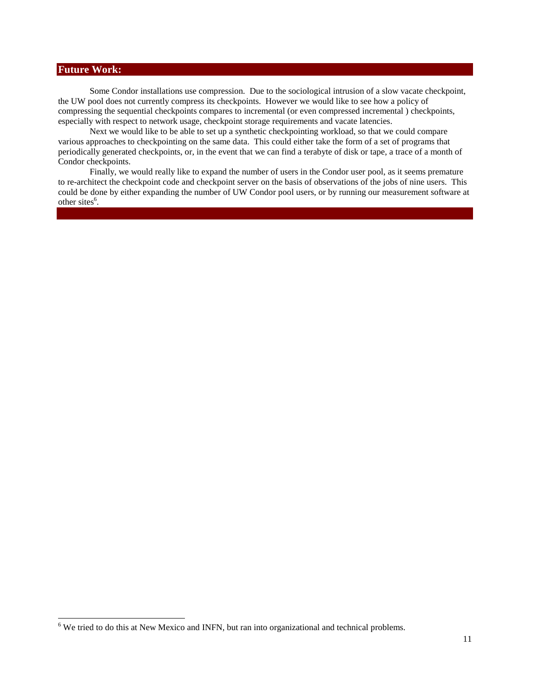## **Future Work:**

 $\overline{\phantom{a}}$ 

Some Condor installations use compression. Due to the sociological intrusion of a slow vacate checkpoint, the UW pool does not currently compress its checkpoints. However we would like to see how a policy of compressing the sequential checkpoints compares to incremental (or even compressed incremental ) checkpoints, especially with respect to network usage, checkpoint storage requirements and vacate latencies.

Next we would like to be able to set up a synthetic checkpointing workload, so that we could compare various approaches to checkpointing on the same data. This could either take the form of a set of programs that periodically generated checkpoints, or, in the event that we can find a terabyte of disk or tape, a trace of a month of Condor checkpoints.

Finally, we would really like to expand the number of users in the Condor user pool, as it seems premature to re-architect the checkpoint code and checkpoint server on the basis of observations of the jobs of nine users. This could be done by either expanding the number of UW Condor pool users, or by running our measurement software at other sites 6 .

<sup>&</sup>lt;sup>6</sup> We tried to do this at New Mexico and INFN, but ran into organizational and technical problems.